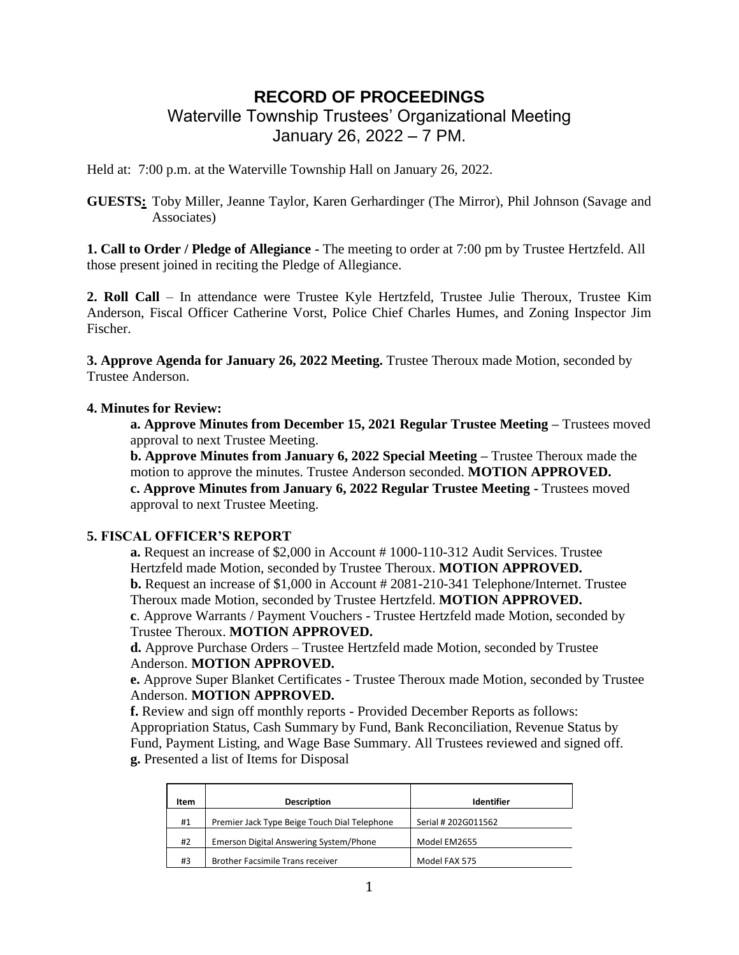# **RECORD OF PROCEEDINGS** Waterville Township Trustees' Organizational Meeting

January 26, 2022 – 7 PM.

Held at: 7:00 p.m. at the Waterville Township Hall on January 26, 2022.

**GUESTS:** Toby Miller, Jeanne Taylor, Karen Gerhardinger (The Mirror), Phil Johnson (Savage and Associates)

**1. Call to Order / Pledge of Allegiance -** The meeting to order at 7:00 pm by Trustee Hertzfeld. All those present joined in reciting the Pledge of Allegiance.

**2. Roll Call** – In attendance were Trustee Kyle Hertzfeld, Trustee Julie Theroux, Trustee Kim Anderson, Fiscal Officer Catherine Vorst, Police Chief Charles Humes, and Zoning Inspector Jim Fischer.

**3. Approve Agenda for January 26, 2022 Meeting.** Trustee Theroux made Motion, seconded by Trustee Anderson.

# **4. Minutes for Review:**

**a. Approve Minutes from December 15, 2021 Regular Trustee Meeting –** Trustees moved approval to next Trustee Meeting.

**b. Approve Minutes from January 6, 2022 Special Meeting –** Trustee Theroux made the motion to approve the minutes. Trustee Anderson seconded. **MOTION APPROVED. c. Approve Minutes from January 6, 2022 Regular Trustee Meeting -** Trustees moved approval to next Trustee Meeting.

# **5. FISCAL OFFICER'S REPORT**

**a.** Request an increase of \$2,000 in Account # 1000-110-312 Audit Services. Trustee Hertzfeld made Motion, seconded by Trustee Theroux. **MOTION APPROVED. b.** Request an increase of \$1,000 in Account # 2081-210-341 Telephone/Internet. Trustee Theroux made Motion, seconded by Trustee Hertzfeld. **MOTION APPROVED.**

**c**. Approve Warrants / Payment Vouchers - Trustee Hertzfeld made Motion, seconded by Trustee Theroux. **MOTION APPROVED.**

**d.** Approve Purchase Orders – Trustee Hertzfeld made Motion, seconded by Trustee Anderson. **MOTION APPROVED.**

**e.** Approve Super Blanket Certificates - Trustee Theroux made Motion, seconded by Trustee Anderson. **MOTION APPROVED.**

**f.** Review and sign off monthly reports - Provided December Reports as follows: Appropriation Status, Cash Summary by Fund, Bank Reconciliation, Revenue Status by Fund, Payment Listing, and Wage Base Summary. All Trustees reviewed and signed off. **g.** Presented a list of Items for Disposal

| Item | <b>Description</b>                           | Identifier          |
|------|----------------------------------------------|---------------------|
| #1   | Premier Jack Type Beige Touch Dial Telephone | Serial # 202G011562 |
| #2   | Emerson Digital Answering System/Phone       | Model EM2655        |
| #3   | <b>Brother Facsimile Trans receiver</b>      | Model FAX 575       |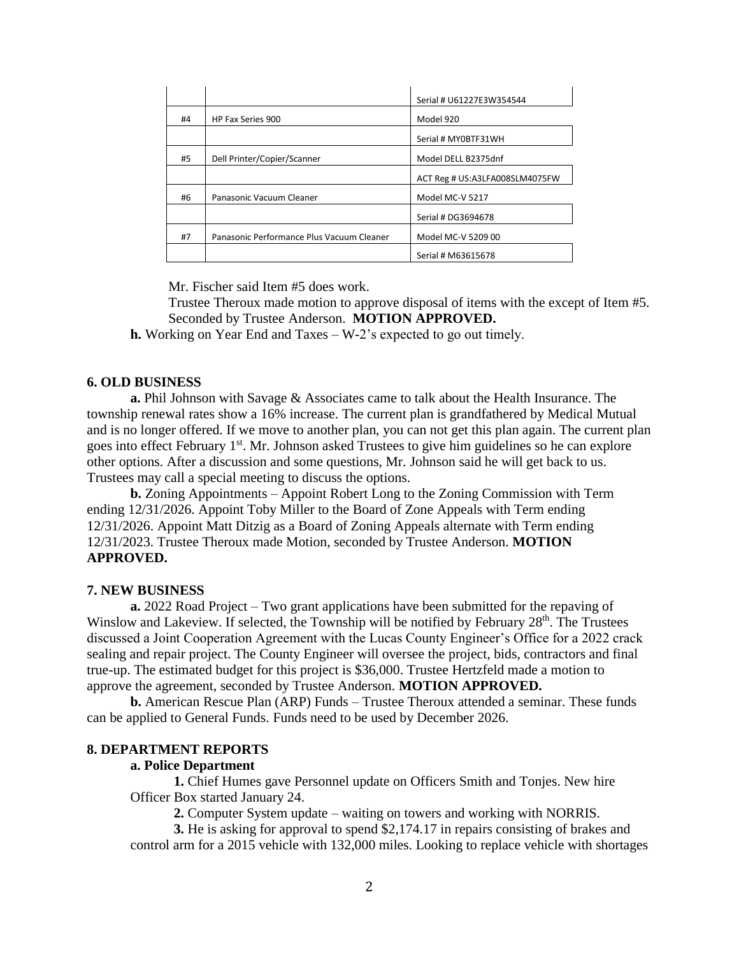|    |                                           | Serial # U61227E3W354544       |
|----|-------------------------------------------|--------------------------------|
| #4 | HP Fax Series 900                         | Model 920                      |
|    |                                           | Serial # MY0BTF31WH            |
| #5 | Dell Printer/Copier/Scanner               | Model DELL B2375dnf            |
|    |                                           | ACT Reg # US:A3LFA008SLM4075FW |
| #6 | Panasonic Vacuum Cleaner                  | Model MC-V 5217                |
|    |                                           | Serial # DG3694678             |
| #7 | Panasonic Performance Plus Vacuum Cleaner | Model MC-V 5209 00             |
|    |                                           | Serial # M63615678             |

Mr. Fischer said Item #5 does work.

Trustee Theroux made motion to approve disposal of items with the except of Item #5. Seconded by Trustee Anderson. **MOTION APPROVED.**

**h.** Working on Year End and Taxes – W-2's expected to go out timely.

### **6. OLD BUSINESS**

**a.** Phil Johnson with Savage & Associates came to talk about the Health Insurance. The township renewal rates show a 16% increase. The current plan is grandfathered by Medical Mutual and is no longer offered. If we move to another plan, you can not get this plan again. The current plan goes into effect February 1<sup>st</sup>. Mr. Johnson asked Trustees to give him guidelines so he can explore other options. After a discussion and some questions, Mr. Johnson said he will get back to us. Trustees may call a special meeting to discuss the options.

**b.** Zoning Appointments – Appoint Robert Long to the Zoning Commission with Term ending 12/31/2026. Appoint Toby Miller to the Board of Zone Appeals with Term ending 12/31/2026. Appoint Matt Ditzig as a Board of Zoning Appeals alternate with Term ending 12/31/2023. Trustee Theroux made Motion, seconded by Trustee Anderson. **MOTION APPROVED.** 

#### **7. NEW BUSINESS**

**a.** 2022 Road Project – Two grant applications have been submitted for the repaving of Winslow and Lakeview. If selected, the Township will be notified by February 28<sup>th</sup>. The Trustees discussed a Joint Cooperation Agreement with the Lucas County Engineer's Office for a 2022 crack sealing and repair project. The County Engineer will oversee the project, bids, contractors and final true-up. The estimated budget for this project is \$36,000. Trustee Hertzfeld made a motion to approve the agreement, seconded by Trustee Anderson. **MOTION APPROVED.** 

**b.** American Rescue Plan (ARP) Funds – Trustee Theroux attended a seminar. These funds can be applied to General Funds. Funds need to be used by December 2026.

# **8. DEPARTMENT REPORTS**

#### **a. Police Department**

**1.** Chief Humes gave Personnel update on Officers Smith and Tonjes. New hire Officer Box started January 24.

**2.** Computer System update – waiting on towers and working with NORRIS.

**3.** He is asking for approval to spend \$2,174.17 in repairs consisting of brakes and control arm for a 2015 vehicle with 132,000 miles. Looking to replace vehicle with shortages